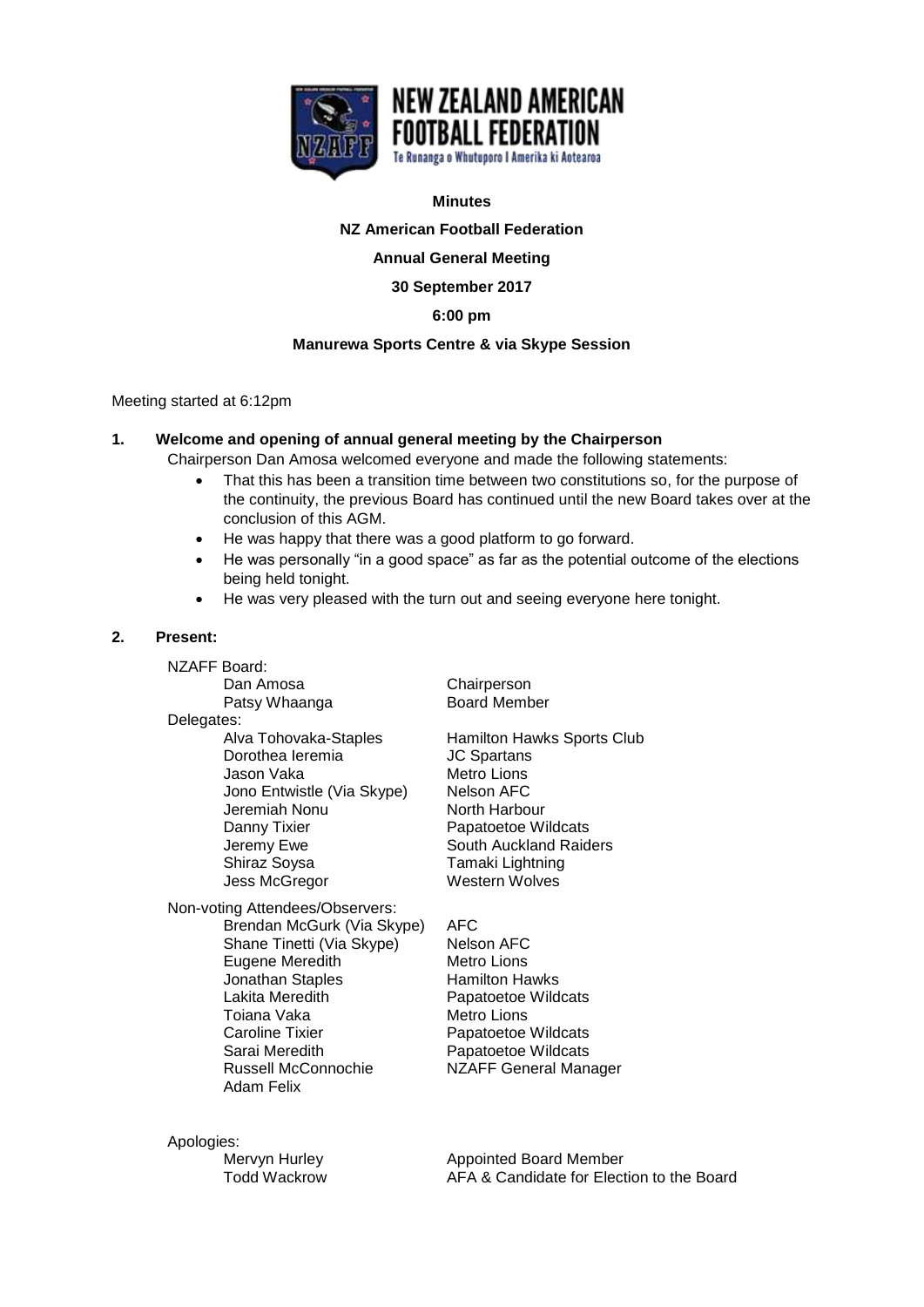

## **Minutes**

**NZ American Football Federation**

**Annual General Meeting** 

**30 September 2017**

**6:00 pm**

## **Manurewa Sports Centre & via Skype Session**

Meeting started at 6:12pm

# **1. Welcome and opening of annual general meeting by the Chairperson**

Chairperson Dan Amosa welcomed everyone and made the following statements:

- That this has been a transition time between two constitutions so, for the purpose of the continuity, the previous Board has continued until the new Board takes over at the conclusion of this AGM.
- He was happy that there was a good platform to go forward.
- He was personally "in a good space" as far as the potential outcome of the elections being held tonight.
- He was very pleased with the turn out and seeing everyone here tonight.

# **2. Present:**

NZAFF Board: Dan Amosa Chairperson Patsy Whaanga Board Member Delegates:<br>Alva Tohovaka-Staples Dorothea Ieremia<br>Jason Vaka Jono Entwistle (Via Skype) Nelson AFC<br>Jeremiah Nonu North Harbour Jeremiah Nonu Danny Tixier **Papatoetoe Wildcats** Shiraz Soysa Tamaki Lightning Jess McGregor Western Wolves

Non-voting Attendees/Observers: Brendan McGurk (Via Skype) AFC<br>Shane Tinetti (Via Skype) Nelson AFC Shane Tinetti (Via Skype) Nelson AFC<br>Eugene Meredith Metro Lions Eugene Meredith Jonathan Staples Hamilton Hawks Lakita Meredith Papatoetoe Wildcats Toiana Vaka<br>
Metro Lions Caroline Tixier Papatoetoe Wildcats Sarai Meredith Papatoetoe Wildcats Russell McConnochie NZAFF General Manager Adam Felix

Hamilton Hawks Sports Club<br>JC Spartans Metro Lions<br>Nelson AFC Jeremy Ewe **South Auckland Raiders** 

Apologies:

Mervyn Hurley **Appointed Board Member** Todd Wackrow AFA & Candidate for Election to the Board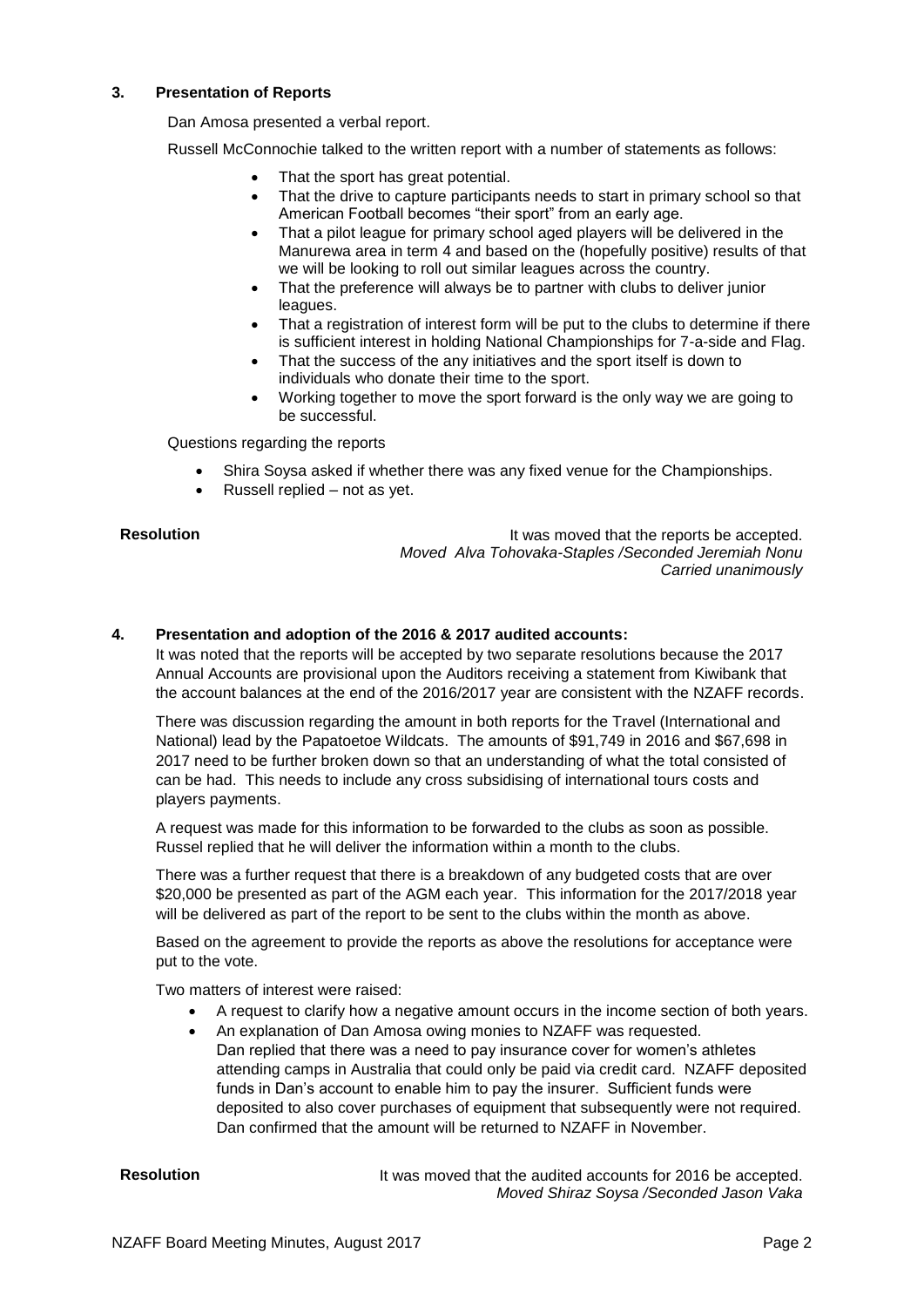# **3. Presentation of Reports**

Dan Amosa presented a verbal report.

Russell McConnochie talked to the written report with a number of statements as follows:

- That the sport has great potential.
- That the drive to capture participants needs to start in primary school so that American Football becomes "their sport" from an early age.
- That a pilot league for primary school aged players will be delivered in the Manurewa area in term 4 and based on the (hopefully positive) results of that we will be looking to roll out similar leagues across the country.
- That the preference will always be to partner with clubs to deliver junior leagues.
- That a registration of interest form will be put to the clubs to determine if there is sufficient interest in holding National Championships for 7-a-side and Flag.
- That the success of the any initiatives and the sport itself is down to individuals who donate their time to the sport.
- Working together to move the sport forward is the only way we are going to be successful.

Questions regarding the reports

- Shira Soysa asked if whether there was any fixed venue for the Championships.
- Russell replied not as yet.

**Resolution Resolution It was moved that the reports be accepted.** *Moved Alva Tohovaka-Staples /Seconded Jeremiah Nonu Carried unanimously*

## **4. Presentation and adoption of the 2016 & 2017 audited accounts:**

It was noted that the reports will be accepted by two separate resolutions because the 2017 Annual Accounts are provisional upon the Auditors receiving a statement from Kiwibank that the account balances at the end of the 2016/2017 year are consistent with the NZAFF records.

There was discussion regarding the amount in both reports for the Travel (International and National) lead by the Papatoetoe Wildcats. The amounts of \$91,749 in 2016 and \$67,698 in 2017 need to be further broken down so that an understanding of what the total consisted of can be had. This needs to include any cross subsidising of international tours costs and players payments.

A request was made for this information to be forwarded to the clubs as soon as possible. Russel replied that he will deliver the information within a month to the clubs.

There was a further request that there is a breakdown of any budgeted costs that are over \$20,000 be presented as part of the AGM each year. This information for the 2017/2018 year will be delivered as part of the report to be sent to the clubs within the month as above.

Based on the agreement to provide the reports as above the resolutions for acceptance were put to the vote.

Two matters of interest were raised:

- A request to clarify how a negative amount occurs in the income section of both years.
- An explanation of Dan Amosa owing monies to NZAFF was requested. Dan replied that there was a need to pay insurance cover for women's athletes attending camps in Australia that could only be paid via credit card. NZAFF deposited funds in Dan's account to enable him to pay the insurer. Sufficient funds were deposited to also cover purchases of equipment that subsequently were not required. Dan confirmed that the amount will be returned to NZAFF in November.

**Resolution** It was moved that the audited accounts for 2016 be accepted. *Moved Shiraz Soysa /Seconded Jason Vaka*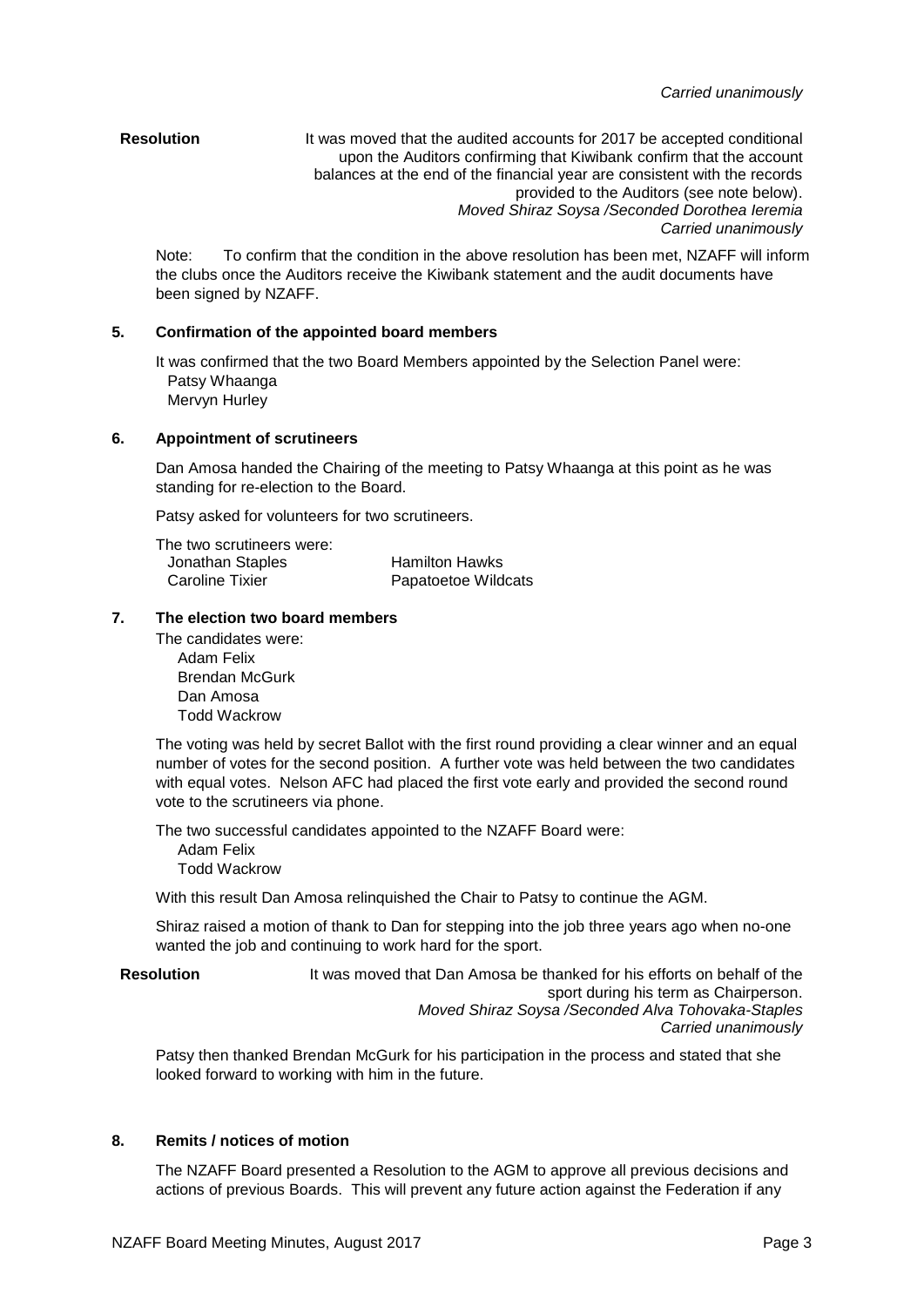### **Resolution** It was moved that the audited accounts for 2017 be accepted conditional upon the Auditors confirming that Kiwibank confirm that the account balances at the end of the financial year are consistent with the records provided to the Auditors (see note below). *Moved Shiraz Soysa /Seconded Dorothea Ieremia Carried unanimously*

Note: To confirm that the condition in the above resolution has been met, NZAFF will inform the clubs once the Auditors receive the Kiwibank statement and the audit documents have been signed by NZAFF.

# **5. Confirmation of the appointed board members**

It was confirmed that the two Board Members appointed by the Selection Panel were: Patsy Whaanga Mervyn Hurley

## **6. Appointment of scrutineers**

Dan Amosa handed the Chairing of the meeting to Patsy Whaanga at this point as he was standing for re-election to the Board.

Patsy asked for volunteers for two scrutineers.

| The two scrutineers were: |                       |
|---------------------------|-----------------------|
| Jonathan Staples          | <b>Hamilton Hawks</b> |
| Caroline Tixier           | Papatoetoe Wildcats   |

## **7. The election two board members**

The candidates were: Adam Felix Brendan McGurk Dan Amosa Todd Wackrow

The voting was held by secret Ballot with the first round providing a clear winner and an equal number of votes for the second position. A further vote was held between the two candidates with equal votes. Nelson AFC had placed the first vote early and provided the second round vote to the scrutineers via phone.

The two successful candidates appointed to the NZAFF Board were:

Adam Felix Todd Wackrow

With this result Dan Amosa relinquished the Chair to Patsy to continue the AGM.

Shiraz raised a motion of thank to Dan for stepping into the job three years ago when no-one wanted the job and continuing to work hard for the sport.

**Resolution** It was moved that Dan Amosa be thanked for his efforts on behalf of the sport during his term as Chairperson. *Moved Shiraz Soysa /Seconded Alva Tohovaka-Staples Carried unanimously*

Patsy then thanked Brendan McGurk for his participation in the process and stated that she looked forward to working with him in the future.

# **8. Remits / notices of motion**

The NZAFF Board presented a Resolution to the AGM to approve all previous decisions and actions of previous Boards. This will prevent any future action against the Federation if any